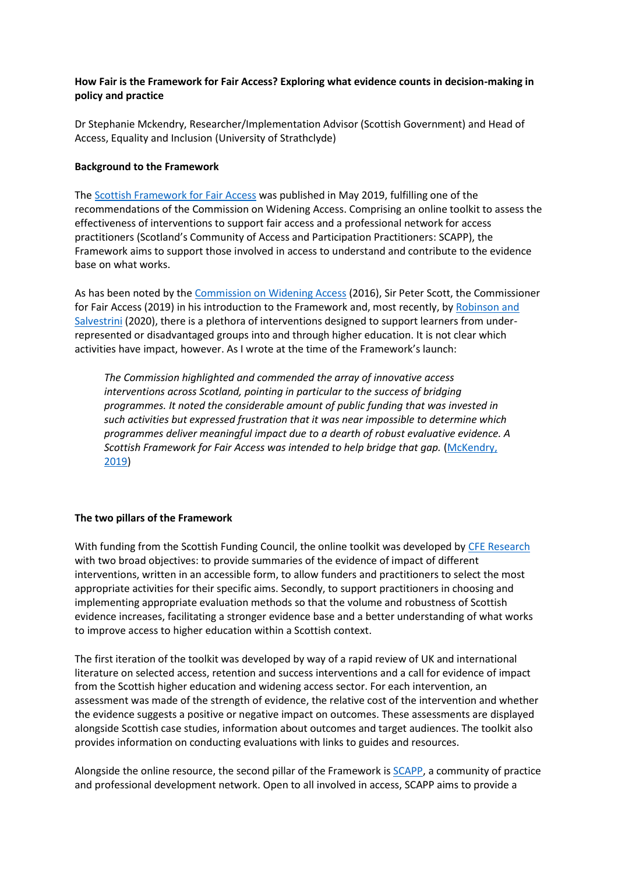## **How Fair is the Framework for Fair Access? Exploring what evidence counts in decision-making in policy and practice**

Dr Stephanie Mckendry, Researcher/Implementation Advisor (Scottish Government) and Head of Access, Equality and Inclusion (University of Strathclyde)

## **Background to the Framework**

The [Scottish Framework for Fair Access](https://www.fairaccess.scot/) was published in May 2019, fulfilling one of the recommendations of the Commission on Widening Access. Comprising an online toolkit to assess the effectiveness of interventions to support fair access and a professional network for access practitioners (Scotland's Community of Access and Participation Practitioners: SCAPP), the Framework aims to support those involved in access to understand and contribute to the evidence base on what works.

As has been noted by th[e Commission on Widening Access](https://www.gov.scot/binaries/content/documents/govscot/publications/progress-report/2016/03/blueprint-fairness-final-report-commission-widening-access/documents/00496619-pdf/00496619-pdf/govscot%3Adocument/00496619.pdf) (2016), Sir Peter Scott, the Commissioner for Fair Access (2019) in his introduction to the Framework and, most recently, by Robinson and [Salvestrini](https://epi.org.uk/publications-and-research/impact-of-interventions-for-widening-access-to-he/) (2020), there is a plethora of interventions designed to support learners from underrepresented or disadvantaged groups into and through higher education. It is not clear which activities have impact, however. As I wrote at the time of the Framework's launch:

*The Commission highlighted and commended the array of innovative access interventions across Scotland, pointing in particular to the success of bridging programmes. It noted the considerable amount of public funding that was invested in such activities but expressed frustration that it was near impossible to determine which programmes deliver meaningful impact due to a dearth of robust evaluative evidence. A Scottish Framework for Fair Access was intended to help bridge that gap.* [\(McKendry,](https://wonkhe.com/blogs/a-framework-for-fair-access-to-higher-education/)  [2019\)](https://wonkhe.com/blogs/a-framework-for-fair-access-to-higher-education/)

## **The two pillars of the Framework**

With funding from the Scottish Funding Council, the online toolkit was developed by [CFE Research](http://cfe.org.uk/work/a-scottish-toolkit-for-fair-access/) with two broad objectives: to provide summaries of the evidence of impact of different interventions, written in an accessible form, to allow funders and practitioners to select the most appropriate activities for their specific aims. Secondly, to support practitioners in choosing and implementing appropriate evaluation methods so that the volume and robustness of Scottish evidence increases, facilitating a stronger evidence base and a better understanding of what works to improve access to higher education within a Scottish context.

The first iteration of the toolkit was developed by way of a rapid review of UK and international literature on selected access, retention and success interventions and a call for evidence of impact from the Scottish higher education and widening access sector. For each intervention, an assessment was made of the strength of evidence, the relative cost of the intervention and whether the evidence suggests a positive or negative impact on outcomes. These assessments are displayed alongside Scottish case studies, information about outcomes and target audiences. The toolkit also provides information on conducting evaluations with links to guides and resources.

Alongside the online resource, the second pillar of the Framework is [SCAPP,](https://www.fairaccess.scot/community-of-practice/) a community of practice and professional development network. Open to all involved in access, SCAPP aims to provide a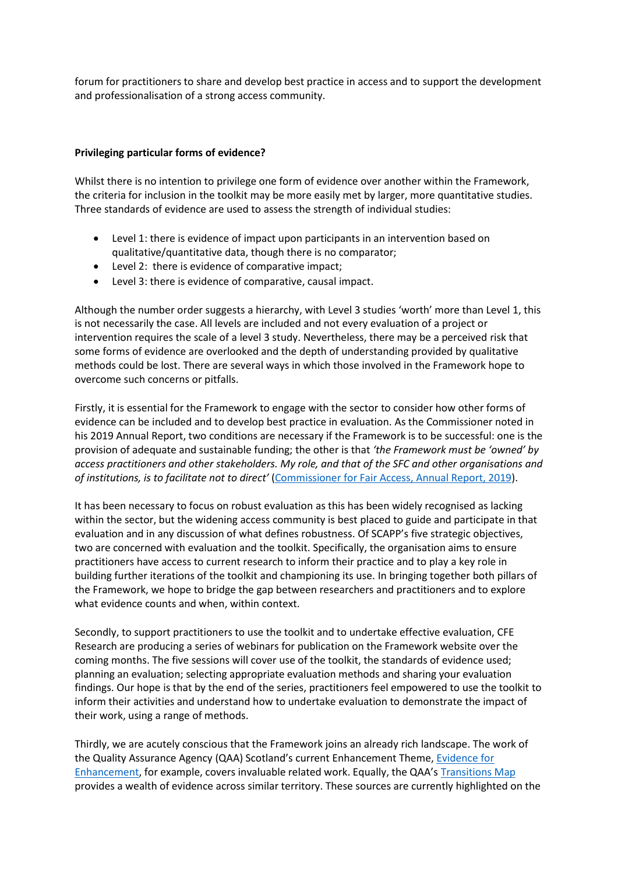forum for practitioners to share and develop best practice in access and to support the development and professionalisation of a strong access community.

## **Privileging particular forms of evidence?**

Whilst there is no intention to privilege one form of evidence over another within the Framework, the criteria for inclusion in the toolkit may be more easily met by larger, more quantitative studies. Three standards of evidence are used to assess the strength of individual studies:

- Level 1: there is evidence of impact upon participants in an intervention based on qualitative/quantitative data, though there is no comparator;
- Level 2: there is evidence of comparative impact;
- Level 3: there is evidence of comparative, causal impact.

Although the number order suggests a hierarchy, with Level 3 studies 'worth' more than Level 1, this is not necessarily the case. All levels are included and not every evaluation of a project or intervention requires the scale of a level 3 study. Nevertheless, there may be a perceived risk that some forms of evidence are overlooked and the depth of understanding provided by qualitative methods could be lost. There are several ways in which those involved in the Framework hope to overcome such concerns or pitfalls.

Firstly, it is essential for the Framework to engage with the sector to consider how other forms of evidence can be included and to develop best practice in evaluation. As the Commissioner noted in his 2019 Annual Report, two conditions are necessary if the Framework is to be successful: one is the provision of adequate and sustainable funding; the other is that *'the Framework must be 'owned' by access practitioners and other stakeholders. My role, and that of the SFC and other organisations and of institutions, is to facilitate not to direct'* [\(Commissioner for Fair Access, Annual Report, 2019\)](file://///ds.strath.ac.uk/home/srb14101/Downloads/building-progress-towards-fair-access-annual-report-2019.pdf).

It has been necessary to focus on robust evaluation as this has been widely recognised as lacking within the sector, but the widening access community is best placed to guide and participate in that evaluation and in any discussion of what defines robustness. Of SCAPP's five strategic objectives, two are concerned with evaluation and the toolkit. Specifically, the organisation aims to ensure practitioners have access to current research to inform their practice and to play a key role in building further iterations of the toolkit and championing its use. In bringing together both pillars of the Framework, we hope to bridge the gap between researchers and practitioners and to explore what evidence counts and when, within context.

Secondly, to support practitioners to use the toolkit and to undertake effective evaluation, CFE Research are producing a series of webinars for publication on the Framework website over the coming months. The five sessions will cover use of the toolkit, the standards of evidence used; planning an evaluation; selecting appropriate evaluation methods and sharing your evaluation findings. Our hope is that by the end of the series, practitioners feel empowered to use the toolkit to inform their activities and understand how to undertake evaluation to demonstrate the impact of their work, using a range of methods.

Thirdly, we are acutely conscious that the Framework joins an already rich landscape. The work of the Quality Assurance Agency (QAA) Scotland's current Enhancement Theme, [Evidence for](https://www.enhancementthemes.ac.uk/current-enhancement-theme)  [Enhancement](https://www.enhancementthemes.ac.uk/current-enhancement-theme), for example, covers invaluable related work. Equally, the QAA's [Transitions Map](https://www.enhancementthemes.ac.uk/en/completed-enhancement-themes/student-transitions/transitions-map) provides a wealth of evidence across similar territory. These sources are currently highlighted on the